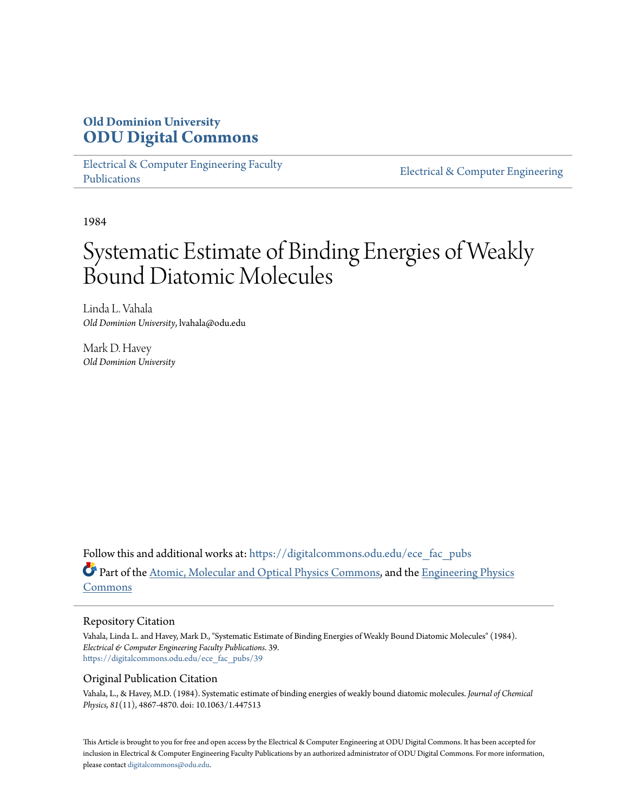# **Old Dominion University [ODU Digital Commons](https://digitalcommons.odu.edu?utm_source=digitalcommons.odu.edu%2Fece_fac_pubs%2F39&utm_medium=PDF&utm_campaign=PDFCoverPages)**

[Electrical & Computer Engineering Faculty](https://digitalcommons.odu.edu/ece_fac_pubs?utm_source=digitalcommons.odu.edu%2Fece_fac_pubs%2F39&utm_medium=PDF&utm_campaign=PDFCoverPages) [Publications](https://digitalcommons.odu.edu/ece_fac_pubs?utm_source=digitalcommons.odu.edu%2Fece_fac_pubs%2F39&utm_medium=PDF&utm_campaign=PDFCoverPages)

[Electrical & Computer Engineering](https://digitalcommons.odu.edu/ece?utm_source=digitalcommons.odu.edu%2Fece_fac_pubs%2F39&utm_medium=PDF&utm_campaign=PDFCoverPages)

1984

# Systematic Estimate of Binding Energies of Weakly Bound Diatomic Molecules

Linda L. Vahala *Old Dominion University*, lvahala@odu.edu

Mark D. Havey *Old Dominion University*

Follow this and additional works at: [https://digitalcommons.odu.edu/ece\\_fac\\_pubs](https://digitalcommons.odu.edu/ece_fac_pubs?utm_source=digitalcommons.odu.edu%2Fece_fac_pubs%2F39&utm_medium=PDF&utm_campaign=PDFCoverPages) Part of the [Atomic, Molecular and Optical Physics Commons,](http://network.bepress.com/hgg/discipline/195?utm_source=digitalcommons.odu.edu%2Fece_fac_pubs%2F39&utm_medium=PDF&utm_campaign=PDFCoverPages) and the [Engineering Physics](http://network.bepress.com/hgg/discipline/200?utm_source=digitalcommons.odu.edu%2Fece_fac_pubs%2F39&utm_medium=PDF&utm_campaign=PDFCoverPages) [Commons](http://network.bepress.com/hgg/discipline/200?utm_source=digitalcommons.odu.edu%2Fece_fac_pubs%2F39&utm_medium=PDF&utm_campaign=PDFCoverPages)

## Repository Citation

Vahala, Linda L. and Havey, Mark D., "Systematic Estimate of Binding Energies of Weakly Bound Diatomic Molecules" (1984). *Electrical & Computer Engineering Faculty Publications*. 39. [https://digitalcommons.odu.edu/ece\\_fac\\_pubs/39](https://digitalcommons.odu.edu/ece_fac_pubs/39?utm_source=digitalcommons.odu.edu%2Fece_fac_pubs%2F39&utm_medium=PDF&utm_campaign=PDFCoverPages)

## Original Publication Citation

Vahala, L., & Havey, M.D. (1984). Systematic estimate of binding energies of weakly bound diatomic molecules. *Journal of Chemical Physics, 81*(11), 4867-4870. doi: 10.1063/1.447513

This Article is brought to you for free and open access by the Electrical & Computer Engineering at ODU Digital Commons. It has been accepted for inclusion in Electrical & Computer Engineering Faculty Publications by an authorized administrator of ODU Digital Commons. For more information, please contact [digitalcommons@odu.edu](mailto:digitalcommons@odu.edu).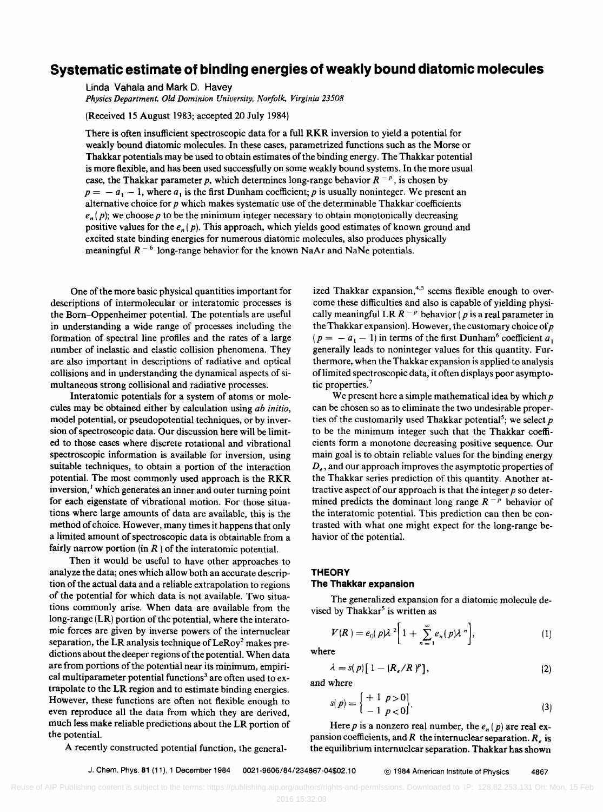# **Systematic estimate of binding energies of weakly bound diatomic molecules**

Linda Vahala and Mark D. Havey

*Physics Department, Old Dominion University, Norfolk, Virginia 23508* 

(Received 15 August 1983; accepted 20 July 1984)

There is often insufficient spectroscopic data for a full RKR inversion to yield a potential for weakly bound diatomic molecules. In these cases, parametrized functions such as the Morse or Thakkar potentials may be used to obtain estimates of the binding energy. The Thakkar potential is more flexible, and has been used successfully on some weakly bound systems. In the more usual case, the Thakkar parameter p, which determines long-range behavior  $R^{-p}$ , is chosen by  $p=-a_1-1$ , where  $a_1$  is the first Dunham coefficient; p is usually noninteger. We present an alternative choice for *p* which makes systematic use of the determinable Thakkar coefficients  $e_n$  (p); we choose p to be the minimum integer necessary to obtain monotonically decreasing positive values for the *en* (p). This approach, which yields good estimates of known ground and excited state binding energies for numerous diatomic molecules, also produces physically meaningful  $R^{-6}$  long-range behavior for the known NaAr and NaNe potentials.

One of the more basic physical quantities important for descriptions of intermolecular or interatomic processes is the Born-Oppenheimer potential. The potentials are useful in understanding a wide range of processes including the formation of spectral line profiles and the rates of a large number of inelastic and elastic collision phenomena. They are also important in descriptions of radiative and optical collisions and in understanding the dynamical aspects of simultaneous strong collisional and radiative processes.

Interatomic potentials for a system of atoms or molecules may be obtained either by calculation using *ab initio,*  model potential, or pseudopotential techniques, or by inversion of spectroscopic data. Our discussion here will be limited to those cases where discrete rotational and vibrational spectroscopic information is available for inversion, using suitable techniques, to obtain a portion of the interaction potential. The most commonly used approach is the RKR inversion, $<sup>1</sup>$  which generates an inner and outer turning point</sup> for each eigenstate of vibrational motion. For those situations where large amounts of data are available, this is the method of choice. However, many times it happens that only a limited amount of spectroscopic data is obtainable from a fairly narrow portion (in  $R$ ) of the interatomic potential.

Then it would be useful to have other approaches to analyze the data; ones which allow both an accurate description of the actual data and a reliable extrapolation to regions of the potential for which data is not available. Two situations commonly arise. When data are available from the long-range (LR) portion of the potential, where the interatomic forces are given by inverse powers of the internuclear separation, the LR analysis technique of  $Le Roy<sup>2</sup>$  makes predictions about the deeper regions of the potential. When data are from portions of the potential near its minimum, empirical multiparameter potential functions<sup>3</sup> are often used to extrapolate to the LR region and to estimate binding energies. However, these functions are often not flexible enough to even reproduce all the data from which they are derived, much less make reliable predictions about the LR portion of the potential.

ized Thakkar expansion, $4.5$  seems flexible enough to overcome these difficulties and also is capable of yielding physically meaningful LR  $R^{-p}$  behavior (p is a real parameter in the Thakkar expansion). However, the customary choice of *p*   $(p = -a_1 - 1)$  in terms of the first Dunham<sup>6</sup> coefficient  $a_1$ generally leads to noninteger values for this quantity. Furthermore, when the Thakkar expansion is applied to analysis of limited spectroscopic data, it often displays poor asymptotic properties.<sup>7</sup>

We present here a simple mathematical idea by which  $p$ can be chosen so as to eliminate the two undesirable properties of the customarily used Thakkar potential<sup>5</sup>; we select *p* to be the minimum integer such that the Thakkar coefficients form a monotone decreasing positive sequence. Our main goal is to obtain reliable values for the binding energy  $D<sub>e</sub>$ , and our approach improves the asymptotic properties of the Thakkar series prediction of this quantity. Another attractive aspect of our approach is that the integer *p* so determined predicts the dominant long range  $R^{-p}$  behavior of the interatomic potential. This prediction can then be contrasted with what one might expect for the long-range behavior of the potential.

#### **THEORY**

#### **The Thakkar expansion**

The generalized expansion for a diatomic molecule devised by Thakkar<sup>5</sup> is written as

$$
V(R) = e_0(p)\lambda^2\bigg[1 + \sum_{n=1}^{\infty} e_n(p)\lambda^n\bigg],
$$
 (1)

where

$$
\lambda = s(p) [1 - (R_e/R)^p], \qquad (2)
$$

and where

$$
s(p) = \begin{cases} +1 & p > 0 \\ -1 & p < 0 \end{cases}.
$$
 (3)

Here p is a nonzero real number, the  $e_n(p)$  are real expansion coefficients, and *R* the internuclear separation. *Re* is the equilibrium internuclear separation. Thakkar has shown

A recently constructed potential function, the general-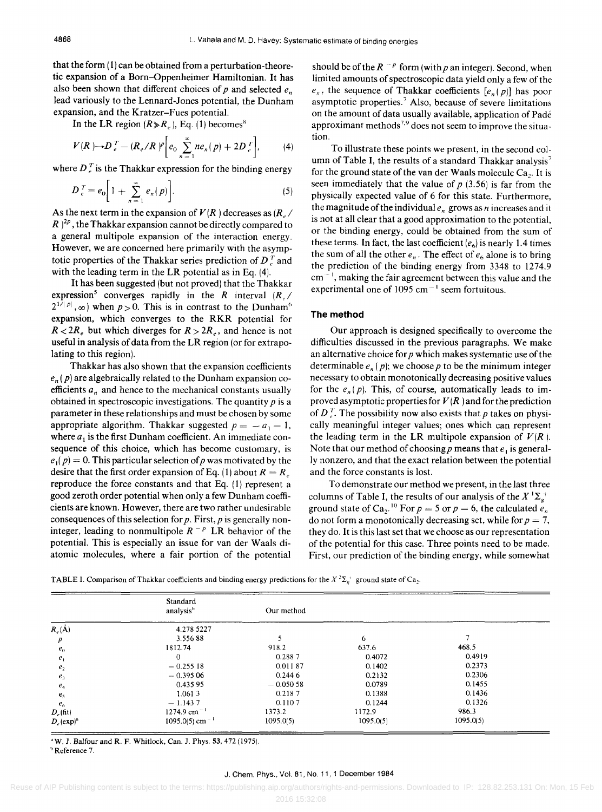that the form (1) can be obtained from a perturbation-theoretic expansion of a Born-Oppenheimer Hamiltonian. It has also been shown that different choices of  $p$  and selected  $e_n$ lead variously to the Lennard-Jones potential, the Dunham expansion, and the Kratzer-Fues potential.

In the LR region  $(R \ge R_e)$ , Eq. (1) becomes<sup>8</sup>

$$
V(R) \rightarrow D_e^T - (R_e/R)^p \bigg[ e_0 \sum_{n=1}^{\infty} n e_n(p) + 2D_e^T \bigg], \qquad (4)
$$

where  $D_e^T$  is the Thakkar expression for the binding energy

$$
D_e^T = e_0 \bigg[ 1 + \sum_{n=1}^{\infty} e_n(p) \bigg]. \tag{5}
$$

As the next term in the expansion of  $V(R)$  decreases as  $(R_{\nu}/R)$  $R$  <sup>2p</sup>, the Thakkar expansion cannot be directly compared to a general multipole expansion of the interaction energy. However, we are concerned here primarily with the asymptotic properties of the Thakkar series prediction of  $D<sub>r</sub><sup>T</sup>$  and with the leading term in the LR potential as in Eq. (4).

It has been suggested (but not proved) that the Thakkar expression<sup>5</sup> converges rapidly in the *R* interval  $(R_e /$  $2^{1/|\rho|}$ ,  $\infty$ ) when  $p > 0$ . This is in contrast to the Dunham<sup>6</sup> expansion, which converges to the RKR potential for  $R < 2R_e$  but which diverges for  $R > 2R_e$ , and hence is not useful in analysis of data from the LR region (or for extrapolating to this region).

Thakkar has also shown that the expansion coefficients  $e_n$  ( $p$ ) are algebraically related to the Dunham expansion coefficients  $a_n$  and hence to the mechanical constants usually obtained in spectroscopic investigations. The quantity  $p$  is a parameter in these relationships and must be chosen by some appropriate algorithm. Thakkar suggested  $p = -a_1 - 1$ , where  $a_1$  is the first Dunham coefficient. An immediate consequence of this choice, which has become customary, is  $e_1(p) = 0$ . This particular selection of p was motivated by the desire that the first order expansion of Eq. (1) about  $R = R_e$ reproduce the force constants and that Eq. (1) represent a good zeroth order potential when only a few Dunham coefficients are known. However, there are two rather undesirable consequences of this selection for  $p$ . First,  $p$  is generally noninteger, leading to nonmultipole  $R^{-p}$  LR behavior of the potential. This is especially an issue for van der Waals diatomic molecules, where a fair portion of the potential

should be of the  $R^{-p}$  form (with p an integer). Second, when limited amounts of spectroscopic data yield only a few of the  $e_n$ , the sequence of Thakkar coefficients  $[e_n(p)]$  has poor asymptotic properties.<sup>7</sup> Also, because of severe limitations on the amount of data usually available, application of Pade approximant methods<sup>7,9</sup> does not seem to improve the situation.

To illustrate these points we present, in the second column of Table I, the results of a standard Thakkar analysis<sup>7</sup> for the ground state of the van der Waals molecule  $Ca<sub>2</sub>$ . It is seen immediately that the value of  $p$  (3.56) is far from the physically expected value of 6 for this state. Furthermore, the magnitude of the individual  $e_n$  grows as *n* increases and it is not at all clear that a good approximation to the potential, or the binding energy, could be obtained from the sum of these terms. In fact, the last coefficient  $(e_6)$  is nearly 1.4 times the sum of all the other  $e_n$ . The effect of  $e_6$  alone is to bring the prediction of the binding energy from 3348 to 1274.9  $cm^{-1}$ , making the fair agreement between this value and the experimental one of 1095 cm<sup> $-1$ </sup> seem fortuitous.

#### **The method**

Our approach is designed specifically to overcome the difficulties discussed in the previous paragraphs. We make an alternative choice for *p* which makes systematic use of the determinable  $e_n(p)$ ; we choose p to be the minimum integer necessary to obtain monotonically decreasing positive values for the  $e_n(p)$ . This, of course, automatically leads to improved asymptotic properties for  $V(R)$  and for the prediction of  $D_{\nu}^{T}$ . The possibility now also exists that p takes on physically meaningful integer values; ones which can represent the leading term in the LR multipole expansion of  $V(R)$ . Note that our method of choosing *p* means that *e*<sub>i</sub> is generally nonzero, and that the exact relation between the potential and the force constants is lost.

To demonstrate our method we present, in the last three columns of Table I, the results of our analysis of the  $X^{\perp}\Sigma_{g}^{+}$ ground state of  $Ca_2$ <sup>10</sup> For  $p = 5$  or  $p = 6$ , the calculated  $e_n$ do not form a monotonically decreasing set, while for  $p = 7$ , they do. It is this last set that we choose as our representation of the potential for this case. Three points need to be made. First, our prediction of the binding energy, while somewhat

TABLE I. Comparison of Thakkar coefficients and binding energy predictions for the  $X^2\Sigma_v^+$  ground state of Ca<sub>2</sub>.

|                          | Standard<br>analysis <sup>b</sup> | Our method |           |           |  |  |
|--------------------------|-----------------------------------|------------|-----------|-----------|--|--|
| $R_e(\AA)$               | 4.278 5227                        |            |           |           |  |  |
| p                        | 3.55688                           |            | 6         |           |  |  |
| $e_0$                    | 1812.74                           | 918.2      | 637.6     | 468.5     |  |  |
| e,                       | $\Omega$                          | 0.2887     | 0.4072    | 0.4919    |  |  |
| e <sub>2</sub>           | $-0.25518$                        | 0.01187    | 0.1402    | 0.2373    |  |  |
| e <sub>3</sub>           | $-0.39506$                        | 0.2446     | 0.2132    | 0.2306    |  |  |
| $e_4$                    | 0.435 95                          | $-0.05058$ | 0.0789    | 0.1455    |  |  |
| e <sub>5</sub>           | 1.0613                            | 0.2187     | 0.1388    | 0.1436    |  |  |
| $e_{\kappa}$             | $-1.1437$                         | 0.1107     | 0.1244    | 0.1326    |  |  |
| $D_{c}$ (fit)            | $1274.9$ cm <sup>-1</sup>         | 1373.2     | 1172.9    | 986.3     |  |  |
| $D_e$ (exp) <sup>a</sup> | $1095.0(5)$ cm <sup>-1</sup>      | 1095.0(5)  | 1095.0(5) | 1095.0(5) |  |  |

<sup>a</sup> W. J. Balfour and R. F. Whitlock, Can. J. Phys. 53, 472 (1975). **b**Reference 7.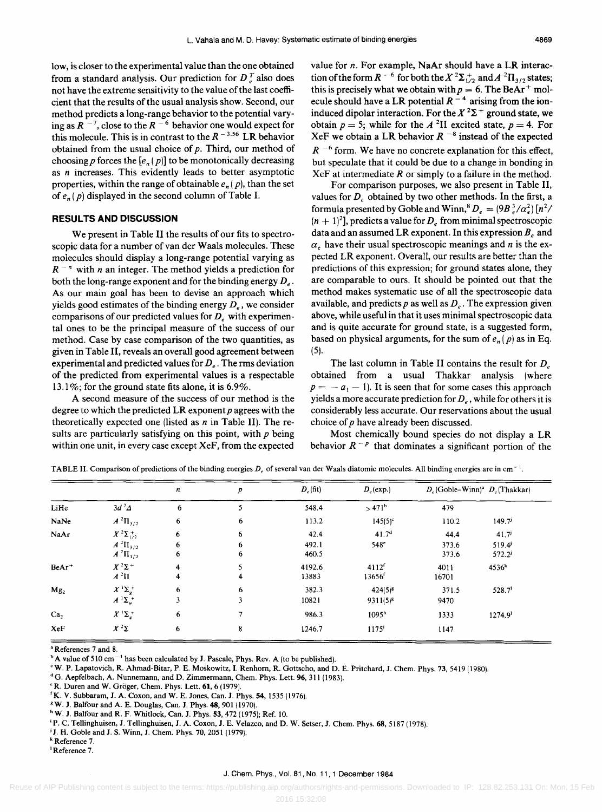low, is closer to the experimental value than the one obtained from a standard analysis. Our prediction for  $D<sub>r</sub><sup>T</sup>$  also does not have the extreme sensitivity to the value of the last coefficient that the results of the usual analysis show. Second, our method predicts a long-range behavior to the potential varying as  $R^{-7}$ , close to the  $R^{-6}$  behavior one would expect for this molecule. This is in contrast to the  $R^{-3.56}$  LR behavior obtained from the usual choice of  $p$ . Third, our method of choosing p forces the  $[e_n(p)]$  to be monotonically decreasing as *n* increases. This evidently leads to better asymptotic properties, within the range of obtainable  $e_n$  (p), than the set of  $e_n(p)$  displayed in the second column of Table I.

#### **RESULTS AND DISCUSSION**

We present in Table II the results of our fits to spectroscopic data for a number of van der Waals molecules. These molecules should display a long-range potential varying as  $R^{-n}$  with *n* an integer. The method yields a prediction for both the long-range exponent and for the binding energy *De.*  As our main goal has been to devise an approach which yields good estimates of the binding energy  $D_e$ , we consider comparisons of our predicted values for *D<sub>e</sub>* with experimental ones to be the principal measure of the success of our method. Case by case comparison of the two quantities, as given in Table II, reveals an overall good agreement between experimental and predicted values for *De.* The rms deviation of the predicted from experimental values is a respectable 13.1%; for the ground state fits alone, it is  $6.9\%$ .

A second measure of the success of our method is the degree to which the predicted LR exponent  $p$  agrees with the theoretically expected one (listed as *n* in Table II). The results are particularly satisfying on this point, with *p* being within one unit, in every case except XeF, from the expected value for *n.* For example, NaAr should have a LR interaction of the form  $R^{-6}$  for both the  $X^2\Sigma_{1/2}^+$  and  $A^2\Pi_{3/2}$  states; this is precisely what we obtain with  $p = 6$ . The BeAr<sup>+</sup> molecule should have a LR potential  $R^{-4}$  arising from the ioninduced dipolar interaction. For the  $X^2\Sigma^+$  ground state, we obtain  $p = 5$ ; while for the  $A<sup>2</sup>H$  excited state,  $p = 4$ . For XeF we obtain a LR behavior  $R^{-8}$  instead of the expected  $R^{-6}$  form. We have no concrete explanation for this effect, but speculate that it could be due to a change in bonding in  $XeF$  at intermediate  $R$  or simply to a failure in the method.

For comparison purposes, we also present in Table II, values for  $D_e$  obtained by two other methods. In the first, a formula presented by Goble and Winn,<sup>8</sup>  $D_e = (9B_e^3/\alpha_e^2) [n^2/m^2]$  $(n + 1)^2$ , predicts a value for  $D_e$  from minimal spectroscopic data and an assumed LR exponent. In this expression  $B<sub>e</sub>$  and  $\alpha_e$  have their usual spectroscopic meanings and *n* is the expected LR exponent. Overall, our results are better than the predictions of this expression; for ground states alone, they are comparable to ours. It should be pointed out that the method makes systematic use of all the spectroscopic data available, and predicts  $p$  as well as  $D_e$ . The expression given above, while useful in that it uses minimal spectroscopic data and is quite accurate for ground state, is a suggested form, based on physical arguments, for the sum of  $e_n(p)$  as in Eq. (5).

The last column in Table II contains the result for *D<sub>e</sub>* obtained from a usual Thakkar analysis (where  $p = -a_1 - 1$ . It is seen that for some cases this approach yields a more accurate prediction for  $D_e$ , while for others it is considerably less accurate. Our reservations about the usual choice of *p* have already been discussed.

Most chemically bound species do not display a LR behavior  $R^{-p}$  that dominates a significant portion of the

|                   |                                             | n      | p                            | $D_e$ (fit)     | $D_e$ (exp.)                                           |                | $D_e$ (Goble–Winn) <sup>a</sup> $D_e$ (Thakkar) |
|-------------------|---------------------------------------------|--------|------------------------------|-----------------|--------------------------------------------------------|----------------|-------------------------------------------------|
| LiHe              | $3d^2\Delta$                                | 6      | 5                            | 548.4           | $>471^b$                                               | 479            |                                                 |
| NaNe              | $A^{2}\Pi_{3/2}$                            | 6      | 6                            | 113.2           | $145(5)^{c}$                                           | 110.2          | 149.7                                           |
| NaAr              | $X^2\Sigma^+_{1/2}$                         | 6      | 6                            | 42.4            | 41.7 <sup>d</sup>                                      | 44.4           | $41.7^{j}$                                      |
|                   | $A^{2}\Pi_{3/2}$<br>$A^{2}\Pi_{1/2}$        | 6<br>6 | 6<br>6                       | 492.1<br>460.5  | $548^\circ$                                            | 373.6<br>373.6 | 519.4<br>$572.2^{j}$                            |
| BeAr <sup>+</sup> | $X^2\Sigma^+$<br>$A^2\Pi$                   | 4<br>4 | 5<br>$\overline{\mathbf{4}}$ | 4192.6<br>13883 | 4112 <sup>f</sup><br>$13656$ <sup><math>f</math></sup> | 4011<br>16701  | 4536 <sup>k</sup>                               |
| Mg <sub>2</sub>   | $X^1\Sigma_g^+$<br>$A^{-1}\Sigma_{\mu}^{+}$ | 6<br>3 | 6<br>3                       | 382.3<br>10821  | $424(5)^8$<br>$9311(5)^8$                              | 371.5<br>9470  | 528.7 <sup>1</sup>                              |
| Ca <sub>2</sub>   | $X^1\Sigma_g^+$                             | 6      | 7                            | 986.3           | 1095 <sup>h</sup>                                      | 1333           | 1274.9 <sup>1</sup>                             |
| XeF               | $X^2\Sigma$                                 | 6      | 8                            | 1246.7          | $1175^{\mathrm{i}}$                                    | 1147           |                                                 |

TABLE II. Comparison of predictions of the binding energies *D<sub>r</sub>* of several van der Waals diatomic molecules. All binding energies are in cm<sup>-1</sup>.

a References 7 and 8.

 $b$  A value of 510 cm<sup>-1</sup> has been calculated by J. Pascale, Phys. Rev. A (to be published).

<sup>c</sup> W. P. Lapatovich, R. Ahmad-Bitar, P. E. Moskowitz, I. Renhorn, R. Gottscho, and D. E. Pritchard, J. Chem. Phys. 73, 5419 (1980).

 $d<sup>d</sup>$ G. Aepfelbach, A. Nunnemann, and D. Zimmermann, Chem. Phys. Lett. 96, 311 (1983).

<sup>e</sup> R. Duren and W. Gröger, Chem. Phys. Lett. 61, 6 (1979).

'K. V. Subbaram, J. A. Coxon, and W. E. Jones, Can. J. Phys. 54,1535 (1976).

8 W. J. Balfour and A. E. Douglas, Can. J. Phys. 48, 901 (1970).

<sup>h</sup> W. J. Balfour and R. F. Whitlock, Can. J. Phys. 53, 472 (1975); Ref. 10.

<sup>i</sup>P. C. Tellinghuisen, J. Tellinghuisen, J. A. Coxon, J. E. Velazco, and D. W. Setser, J. Chern. Phys. 68, 5187 (1978).

<sup>j</sup> J. H. Goble and J. S. Winn, J. Chem. Phys. 70, 2051 (1979).

k Reference 7.

<sup>I</sup>Reference 7.